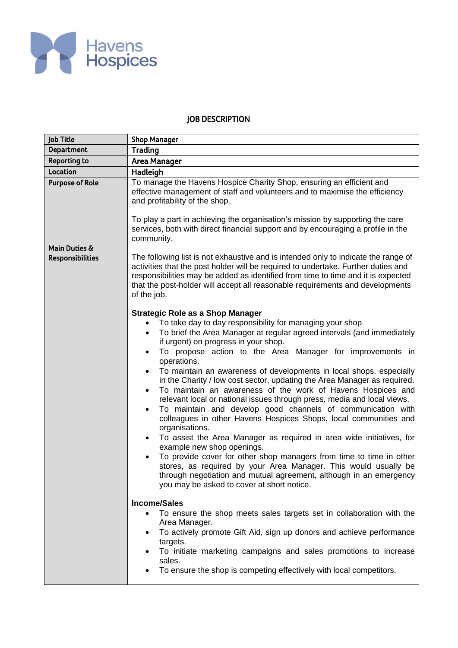

## JOB DESCRIPTION

| <b>Job Title</b>                         | <b>Shop Manager</b>                                                                                                                                                                                                                                                                                                                                                                                                                                                                                                                                                                                                                                                                                                                                                                                                                                                                                                                                                                                                                                                                                                                                                                                                                                                                                                             |  |  |  |  |  |  |
|------------------------------------------|---------------------------------------------------------------------------------------------------------------------------------------------------------------------------------------------------------------------------------------------------------------------------------------------------------------------------------------------------------------------------------------------------------------------------------------------------------------------------------------------------------------------------------------------------------------------------------------------------------------------------------------------------------------------------------------------------------------------------------------------------------------------------------------------------------------------------------------------------------------------------------------------------------------------------------------------------------------------------------------------------------------------------------------------------------------------------------------------------------------------------------------------------------------------------------------------------------------------------------------------------------------------------------------------------------------------------------|--|--|--|--|--|--|
| Department                               | <b>Trading</b>                                                                                                                                                                                                                                                                                                                                                                                                                                                                                                                                                                                                                                                                                                                                                                                                                                                                                                                                                                                                                                                                                                                                                                                                                                                                                                                  |  |  |  |  |  |  |
| <b>Reporting to</b>                      | <b>Area Manager</b>                                                                                                                                                                                                                                                                                                                                                                                                                                                                                                                                                                                                                                                                                                                                                                                                                                                                                                                                                                                                                                                                                                                                                                                                                                                                                                             |  |  |  |  |  |  |
| Location                                 | Hadleigh                                                                                                                                                                                                                                                                                                                                                                                                                                                                                                                                                                                                                                                                                                                                                                                                                                                                                                                                                                                                                                                                                                                                                                                                                                                                                                                        |  |  |  |  |  |  |
| <b>Purpose of Role</b>                   | To manage the Havens Hospice Charity Shop, ensuring an efficient and<br>effective management of staff and volunteers and to maximise the efficiency<br>and profitability of the shop.                                                                                                                                                                                                                                                                                                                                                                                                                                                                                                                                                                                                                                                                                                                                                                                                                                                                                                                                                                                                                                                                                                                                           |  |  |  |  |  |  |
|                                          | To play a part in achieving the organisation's mission by supporting the care<br>services, both with direct financial support and by encouraging a profile in the<br>community.                                                                                                                                                                                                                                                                                                                                                                                                                                                                                                                                                                                                                                                                                                                                                                                                                                                                                                                                                                                                                                                                                                                                                 |  |  |  |  |  |  |
| Main Duties &<br><b>Responsibilities</b> | The following list is not exhaustive and is intended only to indicate the range of<br>activities that the post holder will be required to undertake. Further duties and<br>responsibilities may be added as identified from time to time and it is expected<br>that the post-holder will accept all reasonable requirements and developments<br>of the job.                                                                                                                                                                                                                                                                                                                                                                                                                                                                                                                                                                                                                                                                                                                                                                                                                                                                                                                                                                     |  |  |  |  |  |  |
|                                          | <b>Strategic Role as a Shop Manager</b><br>To take day to day responsibility for managing your shop.<br>$\bullet$<br>To brief the Area Manager at regular agreed intervals (and immediately<br>$\bullet$<br>if urgent) on progress in your shop.<br>To propose action to the Area Manager for improvements in<br>$\bullet$<br>operations.<br>To maintain an awareness of developments in local shops, especially<br>$\bullet$<br>in the Charity / low cost sector, updating the Area Manager as required.<br>To maintain an awareness of the work of Havens Hospices and<br>$\bullet$<br>relevant local or national issues through press, media and local views.<br>To maintain and develop good channels of communication with<br>$\bullet$<br>colleagues in other Havens Hospices Shops, local communities and<br>organisations.<br>To assist the Area Manager as required in area wide initiatives, for<br>$\bullet$<br>example new shop openings.<br>To provide cover for other shop managers from time to time in other<br>$\bullet$<br>stores, as required by your Area Manager. This would usually be<br>through negotiation and mutual agreement, although in an emergency<br>you may be asked to cover at short notice.<br><b>Income/Sales</b><br>To ensure the shop meets sales targets set in collaboration with the |  |  |  |  |  |  |
|                                          | Area Manager.<br>To actively promote Gift Aid, sign up donors and achieve performance<br>targets.<br>To initiate marketing campaigns and sales promotions to increase<br>sales.<br>To ensure the shop is competing effectively with local competitors.                                                                                                                                                                                                                                                                                                                                                                                                                                                                                                                                                                                                                                                                                                                                                                                                                                                                                                                                                                                                                                                                          |  |  |  |  |  |  |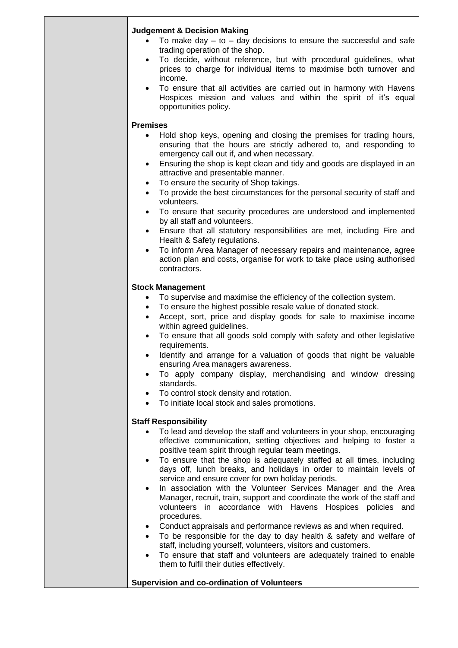| <b>Judgement &amp; Decision Making</b>                                                                                                                                                                                  |
|-------------------------------------------------------------------------------------------------------------------------------------------------------------------------------------------------------------------------|
| To make day $-$ to $-$ day decisions to ensure the successful and safe                                                                                                                                                  |
| trading operation of the shop.                                                                                                                                                                                          |
| To decide, without reference, but with procedural guidelines, what<br>$\bullet$<br>prices to charge for individual items to maximise both turnover and<br>income.                                                       |
| To ensure that all activities are carried out in harmony with Havens<br>$\bullet$<br>Hospices mission and values and within the spirit of it's equal<br>opportunities policy.                                           |
| <b>Premises</b>                                                                                                                                                                                                         |
| Hold shop keys, opening and closing the premises for trading hours,<br>$\bullet$<br>ensuring that the hours are strictly adhered to, and responding to                                                                  |
| emergency call out if, and when necessary.<br>Ensuring the shop is kept clean and tidy and goods are displayed in an<br>$\bullet$                                                                                       |
| attractive and presentable manner.<br>To ensure the security of Shop takings.<br>$\bullet$                                                                                                                              |
| To provide the best circumstances for the personal security of staff and<br>$\bullet$<br>volunteers.                                                                                                                    |
| To ensure that security procedures are understood and implemented<br>$\bullet$<br>by all staff and volunteers.                                                                                                          |
| Ensure that all statutory responsibilities are met, including Fire and<br>$\bullet$<br>Health & Safety regulations.                                                                                                     |
| To inform Area Manager of necessary repairs and maintenance, agree<br>$\bullet$<br>action plan and costs, organise for work to take place using authorised<br>contractors.                                              |
| <b>Stock Management</b>                                                                                                                                                                                                 |
| To supervise and maximise the efficiency of the collection system.                                                                                                                                                      |
| To ensure the highest possible resale value of donated stock.<br>Accept, sort, price and display goods for sale to maximise income<br>within agreed guidelines.                                                         |
| To ensure that all goods sold comply with safety and other legislative<br>$\bullet$<br>requirements.                                                                                                                    |
| Identify and arrange for a valuation of goods that night be valuable<br>$\bullet$<br>ensuring Area managers awareness.                                                                                                  |
| To apply company display, merchandising and window dressing<br>$\bullet$<br>standards.                                                                                                                                  |
| To control stock density and rotation.<br>$\bullet$<br>To initiate local stock and sales promotions.                                                                                                                    |
|                                                                                                                                                                                                                         |
| <b>Staff Responsibility</b><br>To lead and develop the staff and volunteers in your shop, encouraging                                                                                                                   |
| effective communication, setting objectives and helping to foster a<br>positive team spirit through regular team meetings.                                                                                              |
| To ensure that the shop is adequately staffed at all times, including<br>$\bullet$<br>days off, lunch breaks, and holidays in order to maintain levels of                                                               |
| service and ensure cover for own holiday periods.                                                                                                                                                                       |
| In association with the Volunteer Services Manager and the Area<br>$\bullet$<br>Manager, recruit, train, support and coordinate the work of the staff and<br>volunteers in accordance with Havens Hospices policies and |
| procedures.<br>Conduct appraisals and performance reviews as and when required.<br>$\bullet$                                                                                                                            |
| To be responsible for the day to day health & safety and welfare of                                                                                                                                                     |
| staff, including yourself, volunteers, visitors and customers.<br>To ensure that staff and volunteers are adequately trained to enable<br>them to fulfil their duties effectively.                                      |
| <b>Supervision and co-ordination of Volunteers</b>                                                                                                                                                                      |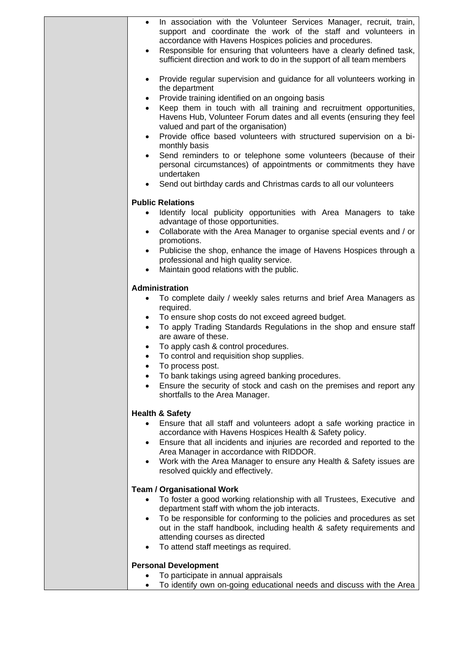| In association with the Volunteer Services Manager, recruit, train,<br>$\bullet$<br>support and coordinate the work of the staff and volunteers in<br>accordance with Havens Hospices policies and procedures.<br>Responsible for ensuring that volunteers have a clearly defined task,<br>sufficient direction and work to do in the support of all team members<br>Provide regular supervision and guidance for all volunteers working in<br>$\bullet$<br>the department<br>Provide training identified on an ongoing basis<br>$\bullet$<br>Keep them in touch with all training and recruitment opportunities,<br>$\bullet$<br>Havens Hub, Volunteer Forum dates and all events (ensuring they feel<br>valued and part of the organisation)<br>Provide office based volunteers with structured supervision on a bi-<br>$\bullet$ |
|-------------------------------------------------------------------------------------------------------------------------------------------------------------------------------------------------------------------------------------------------------------------------------------------------------------------------------------------------------------------------------------------------------------------------------------------------------------------------------------------------------------------------------------------------------------------------------------------------------------------------------------------------------------------------------------------------------------------------------------------------------------------------------------------------------------------------------------|
| monthly basis<br>Send reminders to or telephone some volunteers (because of their<br>$\bullet$<br>personal circumstances) of appointments or commitments they have<br>undertaken<br>Send out birthday cards and Christmas cards to all our volunteers<br>$\bullet$                                                                                                                                                                                                                                                                                                                                                                                                                                                                                                                                                                  |
| <b>Public Relations</b><br>Identify local publicity opportunities with Area Managers to take<br>$\bullet$<br>advantage of those opportunities.<br>Collaborate with the Area Manager to organise special events and / or<br>$\bullet$<br>promotions.<br>Publicise the shop, enhance the image of Havens Hospices through a<br>professional and high quality service.<br>Maintain good relations with the public.                                                                                                                                                                                                                                                                                                                                                                                                                     |
| Administration<br>To complete daily / weekly sales returns and brief Area Managers as<br>$\bullet$<br>required.<br>To ensure shop costs do not exceed agreed budget.<br>$\bullet$<br>To apply Trading Standards Regulations in the shop and ensure staff<br>$\bullet$<br>are aware of these.<br>To apply cash & control procedures.<br>$\bullet$<br>To control and requisition shop supplies.<br>$\bullet$<br>To process post.<br>To bank takings using agreed banking procedures.<br>Ensure the security of stock and cash on the premises and report any<br>shortfalls to the Area Manager.                                                                                                                                                                                                                                       |
| <b>Health &amp; Safety</b><br>Ensure that all staff and volunteers adopt a safe working practice in<br>accordance with Havens Hospices Health & Safety policy.<br>Ensure that all incidents and injuries are recorded and reported to the<br>$\bullet$<br>Area Manager in accordance with RIDDOR.<br>Work with the Area Manager to ensure any Health & Safety issues are<br>$\bullet$<br>resolved quickly and effectively.                                                                                                                                                                                                                                                                                                                                                                                                          |
| <b>Team / Organisational Work</b><br>To foster a good working relationship with all Trustees, Executive and<br>$\bullet$<br>department staff with whom the job interacts.<br>To be responsible for conforming to the policies and procedures as set<br>$\bullet$<br>out in the staff handbook, including health & safety requirements and<br>attending courses as directed<br>To attend staff meetings as required.                                                                                                                                                                                                                                                                                                                                                                                                                 |
| <b>Personal Development</b><br>To participate in annual appraisals<br>To identify own on-going educational needs and discuss with the Area<br>٠                                                                                                                                                                                                                                                                                                                                                                                                                                                                                                                                                                                                                                                                                     |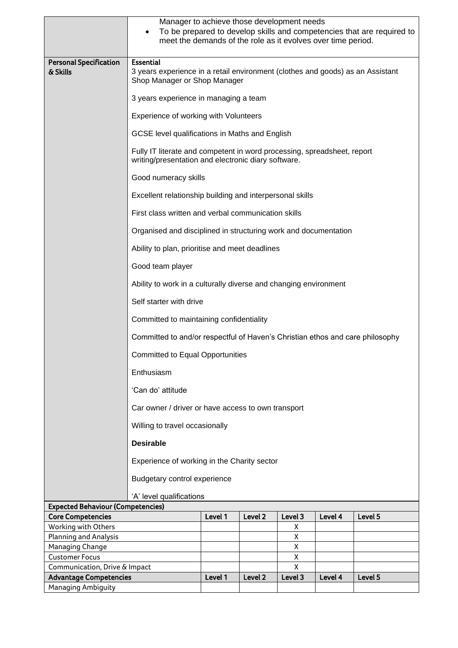|                                          | Manager to achieve those development needs<br>To be prepared to develop skills and competencies that are required to<br>$\bullet$<br>meet the demands of the role as it evolves over time period. |         |         |         |         |         |  |
|------------------------------------------|---------------------------------------------------------------------------------------------------------------------------------------------------------------------------------------------------|---------|---------|---------|---------|---------|--|
| <b>Personal Specification</b>            | <b>Essential</b>                                                                                                                                                                                  |         |         |         |         |         |  |
| & Skills                                 | 3 years experience in a retail environment (clothes and goods) as an Assistant<br>Shop Manager or Shop Manager                                                                                    |         |         |         |         |         |  |
|                                          | 3 years experience in managing a team                                                                                                                                                             |         |         |         |         |         |  |
|                                          | Experience of working with Volunteers                                                                                                                                                             |         |         |         |         |         |  |
|                                          | GCSE level qualifications in Maths and English                                                                                                                                                    |         |         |         |         |         |  |
|                                          | Fully IT literate and competent in word processing, spreadsheet, report<br>writing/presentation and electronic diary software.                                                                    |         |         |         |         |         |  |
|                                          | Good numeracy skills                                                                                                                                                                              |         |         |         |         |         |  |
|                                          | Excellent relationship building and interpersonal skills                                                                                                                                          |         |         |         |         |         |  |
|                                          | First class written and verbal communication skills                                                                                                                                               |         |         |         |         |         |  |
|                                          | Organised and disciplined in structuring work and documentation                                                                                                                                   |         |         |         |         |         |  |
|                                          | Ability to plan, prioritise and meet deadlines                                                                                                                                                    |         |         |         |         |         |  |
|                                          | Good team player                                                                                                                                                                                  |         |         |         |         |         |  |
|                                          | Ability to work in a culturally diverse and changing environment                                                                                                                                  |         |         |         |         |         |  |
|                                          | Self starter with drive                                                                                                                                                                           |         |         |         |         |         |  |
|                                          | Committed to maintaining confidentiality                                                                                                                                                          |         |         |         |         |         |  |
|                                          | Committed to and/or respectful of Haven's Christian ethos and care philosophy                                                                                                                     |         |         |         |         |         |  |
|                                          | <b>Committed to Equal Opportunities</b>                                                                                                                                                           |         |         |         |         |         |  |
|                                          | Enthusiasm                                                                                                                                                                                        |         |         |         |         |         |  |
|                                          | 'Can do' attitude                                                                                                                                                                                 |         |         |         |         |         |  |
|                                          | Car owner / driver or have access to own transport                                                                                                                                                |         |         |         |         |         |  |
|                                          | Willing to travel occasionally                                                                                                                                                                    |         |         |         |         |         |  |
|                                          | <b>Desirable</b>                                                                                                                                                                                  |         |         |         |         |         |  |
|                                          | Experience of working in the Charity sector                                                                                                                                                       |         |         |         |         |         |  |
|                                          | Budgetary control experience                                                                                                                                                                      |         |         |         |         |         |  |
|                                          | 'A' level qualifications                                                                                                                                                                          |         |         |         |         |         |  |
| <b>Expected Behaviour (Competencies)</b> |                                                                                                                                                                                                   |         |         |         |         |         |  |
| <b>Core Competencies</b>                 |                                                                                                                                                                                                   | Level 1 | Level 2 | Level 3 | Level 4 | Level 5 |  |
| Working with Others                      |                                                                                                                                                                                                   |         |         | Χ       |         |         |  |
| <b>Planning and Analysis</b>             |                                                                                                                                                                                                   |         |         | X<br>X  |         |         |  |
| Managing Change<br><b>Customer Focus</b> |                                                                                                                                                                                                   |         |         | Χ       |         |         |  |
| Communication, Drive & Impact            |                                                                                                                                                                                                   |         |         | X       |         |         |  |
| <b>Advantage Competencies</b>            |                                                                                                                                                                                                   | Level 1 | Level 2 | Level 3 | Level 4 | Level 5 |  |
| <b>Managing Ambiguity</b>                |                                                                                                                                                                                                   |         |         |         |         |         |  |